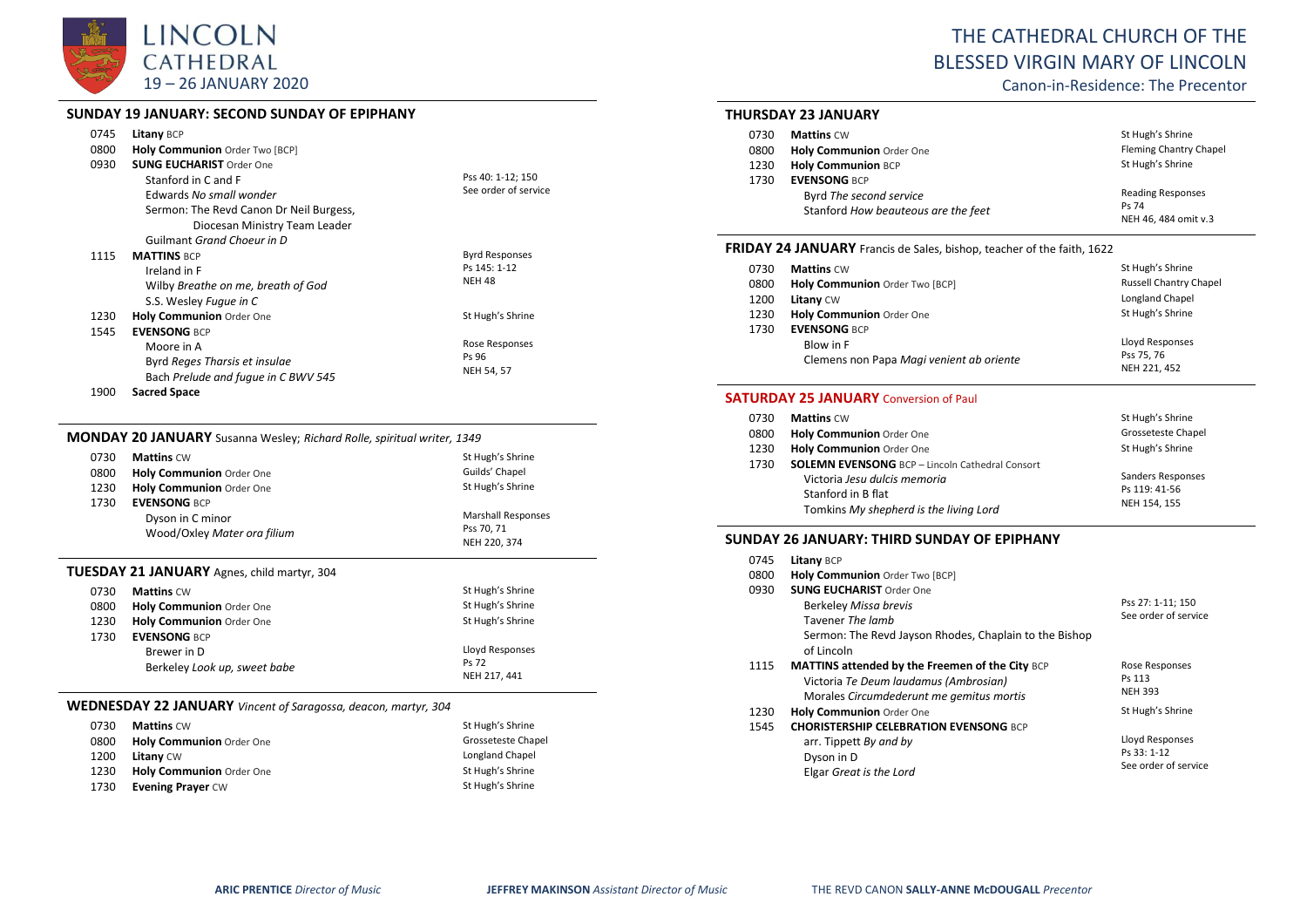

### **SUNDAY 19 JANUARY: SECOND SUNDAY OF EPIPHANY**

| 0745<br>0800<br>0930 | <b>Litany BCP</b><br>Holy Communion Order Two [BCP]<br><b>SUNG EUCHARIST Order One</b><br>Stanford in C and F<br>Edwards No small wonder<br>Sermon: The Revd Canon Dr Neil Burgess, | Pss 40: 1-12; 150<br>See order of service              |
|----------------------|-------------------------------------------------------------------------------------------------------------------------------------------------------------------------------------|--------------------------------------------------------|
|                      | Diocesan Ministry Team Leader                                                                                                                                                       |                                                        |
|                      | Guilmant Grand Choeur in D                                                                                                                                                          |                                                        |
| 1115                 | <b>MATTINS BCP</b><br>Ireland in F<br>Wilby Breathe on me, breath of God<br>S.S. Wesley Fugue in C                                                                                  | <b>Byrd Responses</b><br>Ps 145: 1-12<br><b>NEH 48</b> |
| 1230                 | <b>Holy Communion Order One</b>                                                                                                                                                     | St Hugh's Shrine                                       |
| 1545                 | <b>EVENSONG BCP</b><br>Moore in A<br>Byrd Reges Tharsis et insulae<br>Bach Prelude and fugue in C BWV 545                                                                           | Rose Responses<br>Ps 96<br>NEH 54, 57                  |
| 1900                 | <b>Sacred Space</b>                                                                                                                                                                 |                                                        |

## **MONDAY 20 JANUARY** Susanna Wesley; *Richard Rolle, spiritual writer, 1349*

| 0730 | <b>Mattins CW</b>           | St Hugh's Shrine          |
|------|-----------------------------|---------------------------|
| 0800 | Holy Communion Order One    | Guilds' Chapel            |
| 1230 | Holy Communion Order One    | St Hugh's Shrine          |
| 1730 | <b>EVENSONG BCP</b>         |                           |
|      | Dyson in C minor            | <b>Marshall Responses</b> |
|      | Wood/Oxley Mater ora filium | Pss 70.71                 |
|      |                             | NEH 220, 374              |
|      |                             |                           |

#### **TUESDAY 21 JANUARY** Agnes, child martyr, 304

| 0730                         | <b>Mattins CW</b>               | St Hugh's Shrine |
|------------------------------|---------------------------------|------------------|
| 0800                         | <b>Holy Communion</b> Order One | St Hugh's Shrine |
| 1230                         | <b>Holy Communion</b> Order One | St Hugh's Shrine |
| 1730                         | <b>EVENSONG BCP</b>             |                  |
|                              | Brewer in D                     | Lloyd Responses  |
| Berkeley Look up, sweet babe | Ps 72                           |                  |
|                              |                                 | NEH 217, 441     |

#### **WEDNESDAY 22 JANUARY** *Vincent of Saragossa, deacon, martyr, 304*

| 0730 | <b>Mattins CW</b>        | St Hugh's Shrine   |
|------|--------------------------|--------------------|
| 0800 | Holy Communion Order One | Grosseteste Chapel |
| 1200 | <b>Litany CW</b>         | Longland Chapel    |
| 1230 | Holy Communion Order One | St Hugh's Shrine   |
| 1730 | <b>Evening Prayer CW</b> | St Hugh's Shrine   |

# THE CATHEDRAL CHURCH OF THE BLESSED VIRGIN MARY OF LINCOLN

Canon-in-Residence: The Precentor

## **THURSDAY 23 JANUARY**

| 0730 | <b>Mattins CW</b>                                              | St Hugh's Shrine                                          |
|------|----------------------------------------------------------------|-----------------------------------------------------------|
| 0800 | Holy Communion Order One                                       | Fleming Chantry Chapel                                    |
| 1230 | <b>Holy Communion BCP</b>                                      | St Hugh's Shrine                                          |
| 1730 | <b>EVENSONG BCP</b>                                            |                                                           |
|      | Byrd The second service<br>Stanford How beauteous are the feet | <b>Reading Responses</b><br>Ps 74<br>NEH 46, 484 omit v.3 |

#### **FRIDAY 24 JANUARY** Francis de Sales, bishop, teacher of the faith, 1622

| 0730 | <b>Mattins CW</b>                        | St Hugh's Shrine              |
|------|------------------------------------------|-------------------------------|
| 0800 | Holy Communion Order Two [BCP]           | <b>Russell Chantry Chapel</b> |
| 1200 | <b>Litany CW</b>                         | Longland Chapel               |
| 1230 | Holy Communion Order One                 | St Hugh's Shrine              |
| 1730 | <b>EVENSONG BCP</b>                      |                               |
|      | Blow in F                                | Lloyd Responses               |
|      | Clemens non Papa Magi venient ab oriente | Pss 75, 76                    |
|      |                                          | NEH 221, 452                  |

#### **SATURDAY 25 JANUARY** Conversion of Paul

| 0730 | <b>Mattins CW</b>                                      | St Hugh's Shrine   |
|------|--------------------------------------------------------|--------------------|
| 0800 | Holy Communion Order One                               | Grosseteste Chapel |
| 1230 | Holy Communion Order One                               | St Hugh's Shrine   |
| 1730 | <b>SOLEMN EVENSONG</b> BCP - Lincoln Cathedral Consort |                    |
|      | Victoria Jesu dulcis memoria                           | Sanders Responses  |
|      | Stanford in B flat                                     | Ps 119: 41-56      |
|      | Tomkins My shepherd is the living Lord                 | NEH 154.155        |

#### **SUNDAY 26 JANUARY: THIRD SUNDAY OF EPIPHANY**

| 0745<br>0800<br>0930 | Litany BCP<br>Holy Communion Order Two [BCP]<br><b>SUNG EUCHARIST Order One</b> |                        |
|----------------------|---------------------------------------------------------------------------------|------------------------|
|                      | <b>Berkeley Missa brevis</b>                                                    | Pss 27: 1-11; 150      |
|                      | Tavener The lamb                                                                | See order of service   |
|                      | Sermon: The Revd Jayson Rhodes, Chaplain to the Bishop<br>of Lincoln            |                        |
| 1115                 | <b>MATTINS attended by the Freemen of the City BCP</b>                          | Rose Responses         |
|                      | Victoria Te Deum laudamus (Ambrosian)                                           | Ps 113                 |
|                      | Morales Circumdederunt me gemitus mortis                                        | <b>NEH 393</b>         |
| 1230                 | <b>Holy Communion Order One</b>                                                 | St Hugh's Shrine       |
| 1545                 | <b>CHORISTERSHIP CELEBRATION EVENSONG BCP</b>                                   |                        |
|                      | arr. Tippett By and by                                                          | <b>Lloyd Responses</b> |
|                      | Dyson in D                                                                      | Ps 33: 1-12            |
|                      | Elgar Great is the Lord                                                         | See order of service   |